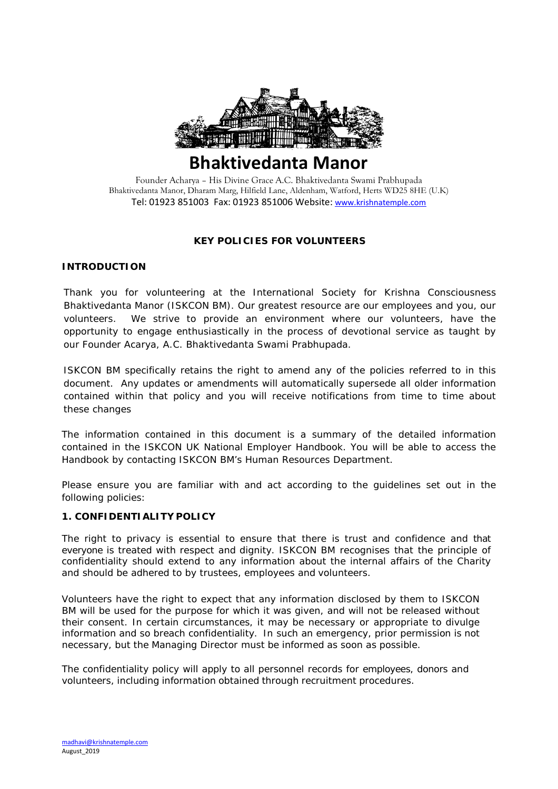

# **Bhaktivedanta Manor**

Founder Acharya – His Divine Grace A.C. Bhaktivedanta Swami Prabhupada Bhaktivedanta Manor, Dharam Marg, Hilfield Lane, Aldenham, Watford, Herts WD25 8HE (U.K) Tel: 01923 851003 Fax: 01923 851006 Website: [www.krishnatemple.com](http://www.krishnatemple.com/)

## **KEY POLICIES FOR VOLUNTEERS**

#### **INTRODUCTION**

Thank you for volunteering at the International Society for Krishna Consciousness Bhaktivedanta Manor (ISKCON BM). Our greatest resource are our employees and you, our volunteers. We strive to provide an environment where our volunteers, have the opportunity to engage enthusiastically in the process of devotional service as taught by our Founder Acarya, A.C. Bhaktivedanta Swami Prabhupada.

ISKCON BM specifically retains the right to amend any of the policies referred to in this document. Any updates or amendments will automatically supersede all older information contained within that policy and you will receive notifications from time to time about these changes

The information contained in this document is a summary of the detailed information contained in the ISKCON UK National Employer Handbook. You will be able to access the Handbook by contacting ISKCON BM's Human Resources Department.

Please ensure you are familiar with and act according to the guidelines set out in the following policies:

#### **1. CONFIDENTIALITY POLICY**

The right to privacy is essential to ensure that there is trust and confidence and that everyone is treated with respect and dignity. ISKCON BM recognises that the principle of confidentiality should extend to any information about the internal affairs of the Charity and should be adhered to by trustees, employees and volunteers.

Volunteers have the right to expect that any information disclosed by them to ISKCON BM will be used for the purpose for which it was given, and will not be released without their consent. In certain circumstances, it may be necessary or appropriate to divulge information and so breach confidentiality. In such an emergency, prior permission is not necessary, but the Managing Director must be informed as soon as possible.

The confidentiality policy will apply to all personnel records for employees, donors and volunteers, including information obtained through recruitment procedures.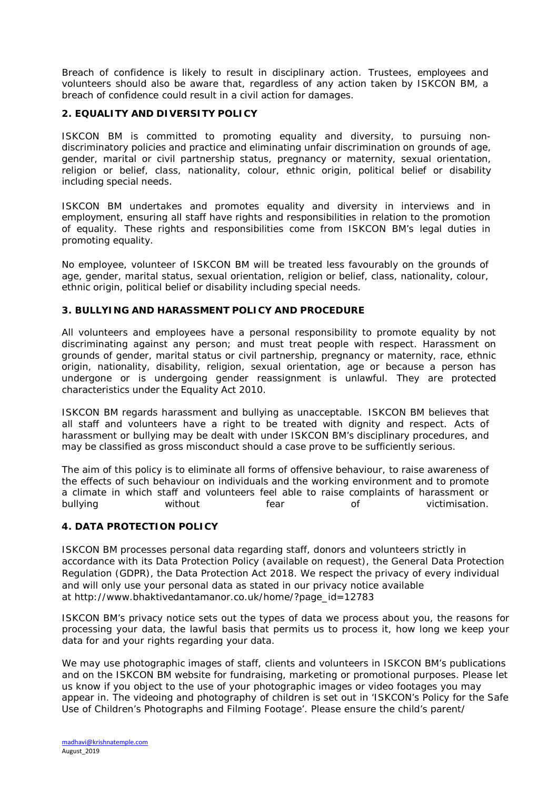Breach of confidence is likely to result in disciplinary action. Trustees, employees and volunteers should also be aware that, regardless of any action taken by ISKCON BM, a breach of confidence could result in a civil action for damages.

#### **2. EQUALITY AND DIVERSITY POLICY**

ISKCON BM is committed to promoting equality and diversity, to pursuing nondiscriminatory policies and practice and eliminating unfair discrimination on grounds of age, gender, marital or civil partnership status, pregnancy or maternity, sexual orientation, religion or belief, class, nationality, colour, ethnic origin, political belief or disability including special needs.

ISKCON BM undertakes and promotes equality and diversity in interviews and in employment, ensuring all staff have rights and responsibilities in relation to the promotion of equality. These rights and responsibilities come from ISKCON BM's legal duties in promoting equality.

No employee, volunteer of ISKCON BM will be treated less favourably on the grounds of age, gender, marital status, sexual orientation, religion or belief, class, nationality, colour, ethnic origin, political belief or disability including special needs.

#### **3. BULLYING AND HARASSMENT POLICY AND PROCEDURE**

All volunteers and employees have a personal responsibility to promote equality by not discriminating against any person; and must treat people with respect. Harassment on grounds of gender, marital status or civil partnership, pregnancy or maternity, race, ethnic origin, nationality, disability, religion, sexual orientation, age or because a person has undergone or is undergoing gender reassignment is unlawful. They are protected characteristics under the Equality Act 2010.

ISKCON BM regards harassment and bullying as unacceptable. ISKCON BM believes that all staff and volunteers have a right to be treated with dignity and respect. Acts of harassment or bullying may be dealt with under ISKCON BM's disciplinary procedures, and may be classified as gross misconduct should a case prove to be sufficiently serious.

The aim of this policy is to eliminate all forms of offensive behaviour, to raise awareness of the effects of such behaviour on individuals and the working environment and to promote a climate in which staff and volunteers feel able to raise complaints of harassment or bullying without fear of victimisation.

## **4. DATA PROTECTION POLICY**

ISKCON BM processes personal data regarding staff, donors and volunteers strictly in accordance with its Data Protection Policy (available on request), the General Data Protection Regulation (GDPR), the Data Protection Act 2018. We respect the privacy of every individual and will only use your personal data as stated in our privacy notice available at http://www.bhaktivedantamanor.co.uk/home/?page\_id=12783

ISKCON BM's privacy notice sets out the types of data we process about you, the reasons for processing your data, the lawful basis that permits us to process it, how long we keep your data for and your rights regarding your data.

We may use photographic images of staff, clients and volunteers in ISKCON BM's publications and on the ISKCON BM website for fundraising, marketing or promotional purposes. Please let us know if you object to the use of your photographic images or video footages you may appear in. The videoing and photography of children is set out in '*ISKCON's Policy for the Safe Use of Children's Photographs and Filming Footage'*. Please ensure the child's parent/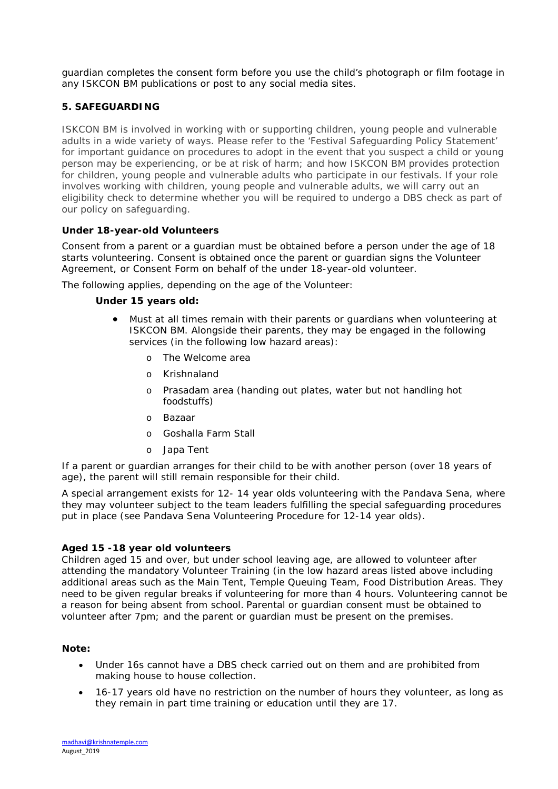guardian completes the consent form before you use the child's photograph or film footage in any ISKCON BM publications or post to any social media sites.

## **5. SAFEGUARDING**

ISKCON BM is involved in working with or supporting children, young people and vulnerable adults in a wide variety of ways. Please refer to the 'Festival Safeguarding Policy Statement' for important guidance on procedures to adopt in the event that you suspect a child or young person may be experiencing, or be at risk of harm; and how ISKCON BM provides protection for children, young people and vulnerable adults who participate in our festivals. If your role involves working with children, young people and vulnerable adults, we will carry out an eligibility check to determine whether you will be required to undergo a DBS check as part of our policy on safeguarding.

#### **Under 18-year-old Volunteers**

Consent from a parent or a guardian must be obtained before a person under the age of 18 starts volunteering. Consent is obtained once the parent or guardian signs the Volunteer Agreement, or Consent Form on behalf of the under 18-year-old volunteer.

The following applies, depending on the age of the Volunteer:

#### **Under 15 years old:**

- Must at all times remain with their parents or guardians when volunteering at ISKCON BM. Alongside their parents, they may be engaged in the following services (in the following low hazard areas):
	- o The Welcome area
	- o Krishnaland
	- o Prasadam area (handing out plates, water but not handling hot foodstuffs)
	- o Bazaar
	- o Goshalla Farm Stall
	- o Japa Tent

If a parent or guardian arranges for their child to be with another person (over 18 years of age), the parent will still remain responsible for their child.

A special arrangement exists for 12- 14 year olds volunteering with the Pandava Sena, where they may volunteer subject to the team leaders fulfilling the special safeguarding procedures put in place (see *Pandava Sena Volunteering Procedure for 12-14 year olds*).

#### **Aged 15 -18 year old volunteers**

Children aged 15 and over, but under school leaving age, are allowed to volunteer after attending the mandatory Volunteer Training (in the low hazard areas listed above including additional areas such as the Main Tent, Temple Queuing Team, Food Distribution Areas. They need to be given regular breaks if volunteering for more than 4 hours. Volunteering cannot be a reason for being absent from school. Parental or guardian consent must be obtained to volunteer after 7pm; and the parent or guardian must be present on the premises.

#### **Note:**

- Under 16s cannot have a DBS check carried out on them and are prohibited from making house to house collection.
- 16-17 years old have no restriction on the number of hours they volunteer, as long as they remain in part time training or education until they are 17.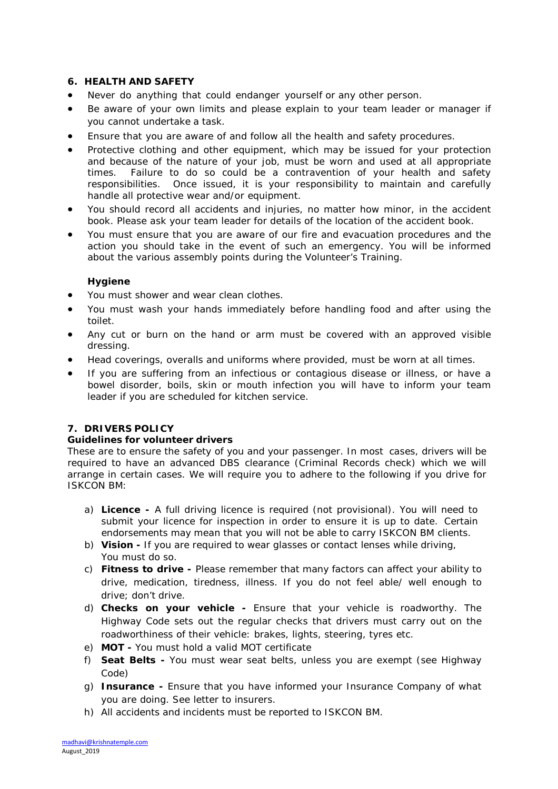#### **6. HEALTH AND SAFETY**

- Never do anything that could endanger yourself or any other person.
- Be aware of your own limits and please explain to your team leader or manager if you cannot undertake a task.
- Ensure that you are aware of and follow all the health and safety procedures.
- Protective clothing and other equipment, which may be issued for your protection and because of the nature of your job, must be worn and used at all appropriate times. Failure to do so could be a contravention of your health and safety responsibilities. Once issued, it is your responsibility to maintain and carefully handle all protective wear and/or equipment.
- You should record all accidents and injuries, no matter how minor, in the accident book. Please ask your team leader for details of the location of the accident book.
- You must ensure that you are aware of our fire and evacuation procedures and the action you should take in the event of such an emergency. You will be informed about the various assembly points during the Volunteer's Training.

#### **Hygiene**

- You must shower and wear clean clothes.
- You must wash your hands immediately before handling food and after using the toilet.
- Any cut or burn on the hand or arm must be covered with an approved visible dressing.
- Head coverings, overalls and uniforms where provided, must be worn at all times.
- If you are suffering from an infectious or contagious disease or illness, or have a bowel disorder, boils, skin or mouth infection you will have to inform your team leader if you are scheduled for kitchen service.

## **7. DRIVERS POLICY**

#### **Guidelines for volunteer drivers**

These are to ensure the safety of you and your passenger. In most cases, drivers will be required to have an advanced DBS clearance (Criminal Records check) which we will arrange in certain cases. We will require you to adhere to the following if you drive for ISKCON BM:

- a) **Licence -** A full driving licence is required (not provisional). You will need to submit your licence for inspection in order to ensure it is up to date. Certain endorsements may mean that you will not be able to carry ISKCON BM clients.
- b) **Vision -** If you are required to wear glasses or contact lenses while driving, You must do so.
- c) **Fitness to drive -** Please remember that many factors can affect your ability to drive, medication, tiredness, illness. If you do not feel able/ well enough to drive; don't drive.
- d) **Checks on your vehicle -** Ensure that your vehicle is roadworthy. The Highway Code sets out the regular checks that drivers must carry out on the roadworthiness of their vehicle: brakes, lights, steering, tyres etc.
- e) **MOT -** You must hold a valid MOT certificate
- f) **Seat Belts -** You must wear seat belts, unless you are exempt (see Highway Code)
- g) **Insurance -** Ensure that you have informed your Insurance Company of what you are doing. See letter to insurers.
- h) All accidents and incidents must be reported to ISKCON BM.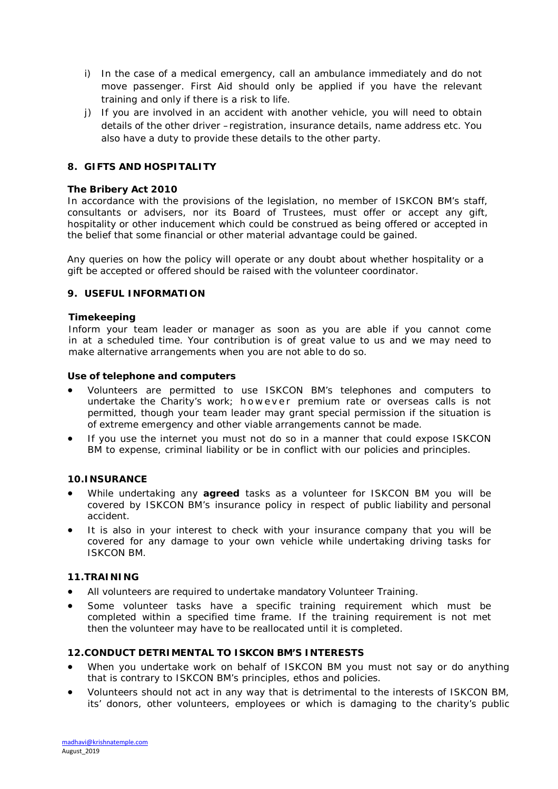- i) In the case of a medical emergency, call an ambulance immediately and do not move passenger. First Aid should only be applied if you have the relevant training and only if there is a risk to life.
- j) If you are involved in an accident with another vehicle, you will need to obtain details of the other driver –registration, insurance details, name address etc. You also have a duty to provide these details to the other party.

### **8. GIFTS AND HOSPITALITY**

#### **The Bribery Act 2010**

In accordance with the provisions of the legislation, no member of ISKCON BM's staff, consultants or advisers, nor its Board of Trustees, must offer or accept any gift, hospitality or other inducement which could be construed as being offered or accepted in the belief that some financial or other material advantage could be gained.

Any queries on how the policy will operate or any doubt about whether hospitality or a gift be accepted or offered should be raised with the volunteer coordinator.

#### **9. USEFUL INFORMATION**

#### **Timekeeping**

Inform your team leader or manager as soon as you are able if you cannot come in at a scheduled time. Your contribution is of great value to us and we may need to make alternative arrangements when you are not able to do so.

#### **Use of telephone and computers**

- Volunteers are permitted to use ISKCON BM's telephones and computers to undertake the Charity's work; however premium rate or overseas calls is not permitted, though your team leader may grant special permission if the situation is of extreme emergency and other viable arrangements cannot be made.
- If you use the internet you must not do so in a manner that could expose ISKCON BM to expense, criminal liability or be in conflict with our policies and principles.

#### **10.INSURANCE**

- While undertaking any **agreed** tasks as a volunteer for ISKCON BM you will be covered by ISKCON BM's insurance policy in respect of public liability and personal accident.
- It is also in your interest to check with your insurance company that you will be covered for any damage to your own vehicle while undertaking driving tasks for ISKCON BM.

#### **11.TRAINING**

- All volunteers are required to undertake mandatory Volunteer Training.
- Some volunteer tasks have a specific training requirement which must be completed within a specified time frame. If the training requirement is not met then the volunteer may have to be reallocated until it is completed.

#### **12.CONDUCT DETRIMENTAL TO ISKCON BM'S INTERESTS**

- When you undertake work on behalf of ISKCON BM you must not say or do anything that is contrary to ISKCON BM's principles, ethos and policies.
- Volunteers should not act in any way that is detrimental to the interests of ISKCON BM, its' donors, other volunteers, employees or which is damaging to the charity's public